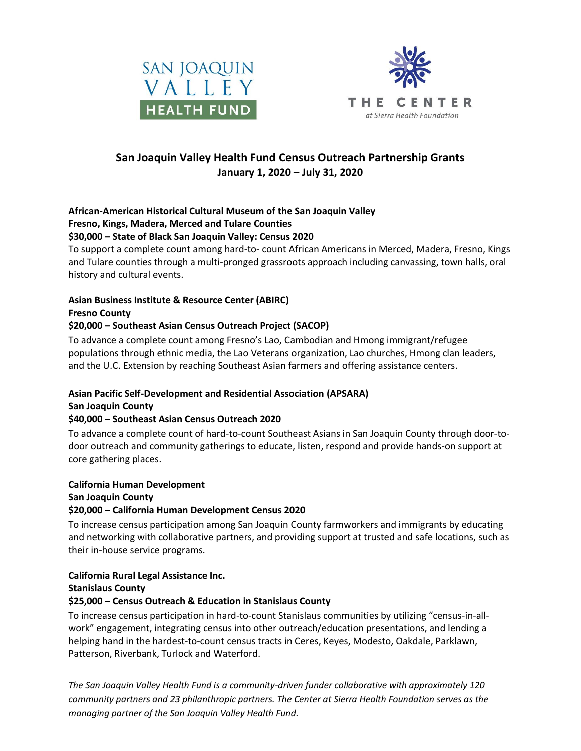



# **San Joaquin Valley Health Fund Census Outreach Partnership Grants January 1, 2020 – July 31, 2020**

# **African-American Historical Cultural Museum of the San Joaquin Valley Fresno, Kings, Madera, Merced and Tulare Counties**

#### **\$30,000 – State of Black San Joaquin Valley: Census 2020**

To support a complete count among hard-to- count African Americans in Merced, Madera, Fresno, Kings and Tulare counties through a multi-pronged grassroots approach including canvassing, town halls, oral history and cultural events.

# **Asian Business Institute & Resource Center (ABIRC)**

#### **Fresno County**

# **\$20,000 – Southeast Asian Census Outreach Project (SACOP)**

To advance a complete count among Fresno's Lao, Cambodian and Hmong immigrant/refugee populations through ethnic media, the Lao Veterans organization, Lao churches, Hmong clan leaders, and the U.C. Extension by reaching Southeast Asian farmers and offering assistance centers.

# **Asian Pacific Self-Development and Residential Association (APSARA)**

# **San Joaquin County**

# **\$40,000 – Southeast Asian Census Outreach 2020**

To advance a complete count of hard-to-count Southeast Asians in San Joaquin County through door-todoor outreach and community gatherings to educate, listen, respond and provide hands-on support at core gathering places.

#### **California Human Development San Joaquin County \$20,000 – California Human Development Census 2020**

To increase census participation among San Joaquin County farmworkers and immigrants by educating and networking with collaborative partners, and providing support at trusted and safe locations, such as their in-house service programs.

# **California Rural Legal Assistance Inc.**

# **Stanislaus County**

# **\$25,000 – Census Outreach & Education in Stanislaus County**

To increase census participation in hard-to-count Stanislaus communities by utilizing "census-in-allwork" engagement, integrating census into other outreach/education presentations, and lending a helping hand in the hardest-to-count census tracts in Ceres, Keyes, Modesto, Oakdale, Parklawn, Patterson, Riverbank, Turlock and Waterford.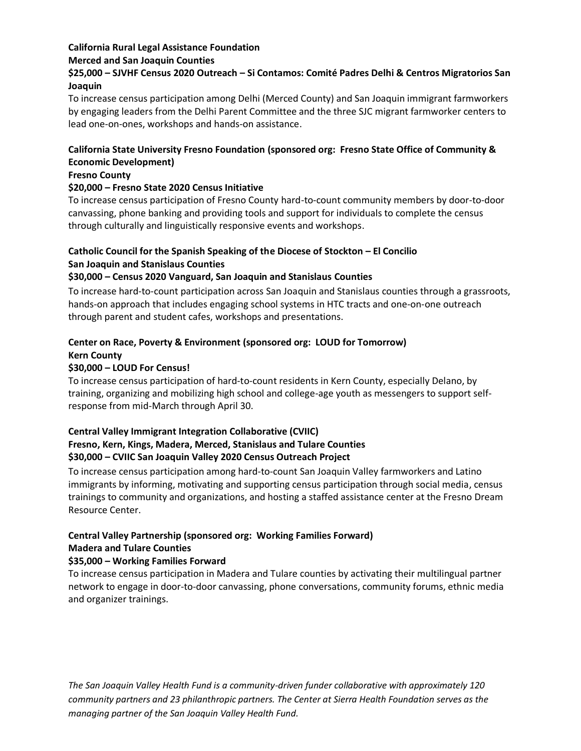# **California Rural Legal Assistance Foundation Merced and San Joaquin Counties**

# **\$25,000 – SJVHF Census 2020 Outreach – Si Contamos: Comité Padres Delhi & Centros Migratorios San Joaquin**

To increase census participation among Delhi (Merced County) and San Joaquin immigrant farmworkers by engaging leaders from the Delhi Parent Committee and the three SJC migrant farmworker centers to lead one-on-ones, workshops and hands-on assistance.

# **California State University Fresno Foundation (sponsored org: Fresno State Office of Community & Economic Development)**

#### **Fresno County**

#### **\$20,000 – Fresno State 2020 Census Initiative**

To increase census participation of Fresno County hard-to-count community members by door-to-door canvassing, phone banking and providing tools and support for individuals to complete the census through culturally and linguistically responsive events and workshops.

# **Catholic Council for the Spanish Speaking of the Diocese of Stockton – El Concilio San Joaquin and Stanislaus Counties**

# **\$30,000 – Census 2020 Vanguard, San Joaquin and Stanislaus Counties**

To increase hard-to-count participation across San Joaquin and Stanislaus counties through a grassroots, hands-on approach that includes engaging school systems in HTC tracts and one-on-one outreach through parent and student cafes, workshops and presentations.

# **Center on Race, Poverty & Environment (sponsored org: LOUD for Tomorrow) Kern County**

# **\$30,000 – LOUD For Census!**

To increase census participation of hard-to-count residents in Kern County, especially Delano, by training, organizing and mobilizing high school and college-age youth as messengers to support selfresponse from mid-March through April 30.

# **Central Valley Immigrant Integration Collaborative (CVIIC) Fresno, Kern, Kings, Madera, Merced, Stanislaus and Tulare Counties \$30,000 – CVIIC San Joaquin Valley 2020 Census Outreach Project**

To increase census participation among hard-to-count San Joaquin Valley farmworkers and Latino immigrants by informing, motivating and supporting census participation through social media, census trainings to community and organizations, and hosting a staffed assistance center at the Fresno Dream Resource Center.

#### **Central Valley Partnership (sponsored org: Working Families Forward) Madera and Tulare Counties**

# **\$35,000 – Working Families Forward**

To increase census participation in Madera and Tulare counties by activating their multilingual partner network to engage in door-to-door canvassing, phone conversations, community forums, ethnic media and organizer trainings.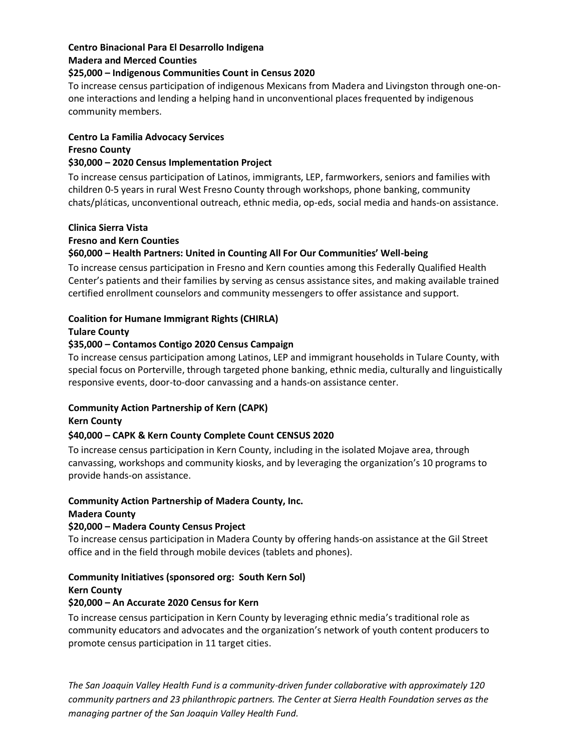#### **Centro Binacional Para El Desarrollo Indigena Madera and Merced Counties**

#### **\$25,000 – Indigenous Communities Count in Census 2020**

To increase census participation of indigenous Mexicans from Madera and Livingston through one-onone interactions and lending a helping hand in unconventional places frequented by indigenous community members.

#### **Centro La Familia Advocacy Services Fresno County \$30,000 – 2020 Census Implementation Project**

To increase census participation of Latinos, immigrants, LEP, farmworkers, seniors and families with children 0-5 years in rural West Fresno County through workshops, phone banking, community chats/pláticas, unconventional outreach, ethnic media, op-eds, social media and hands-on assistance.

# **Clinica Sierra Vista Fresno and Kern Counties \$60,000 – Health Partners: United in Counting All For Our Communities' Well-being**

To increase census participation in Fresno and Kern counties among this Federally Qualified Health Center's patients and their families by serving as census assistance sites, and making available trained certified enrollment counselors and community messengers to offer assistance and support.

# **Coalition for Humane Immigrant Rights (CHIRLA)**

# **Tulare County**

# **\$35,000 – Contamos Contigo 2020 Census Campaign**

To increase census participation among Latinos, LEP and immigrant households in Tulare County, with special focus on Porterville, through targeted phone banking, ethnic media, culturally and linguistically responsive events, door-to-door canvassing and a hands-on assistance center.

# **Community Action Partnership of Kern (CAPK)**

# **Kern County**

# **\$40,000 – CAPK & Kern County Complete Count CENSUS 2020**

To increase census participation in Kern County, including in the isolated Mojave area, through canvassing, workshops and community kiosks, and by leveraging the organization's 10 programs to provide hands-on assistance.

# **Community Action Partnership of Madera County, Inc.**

# **Madera County**

# **\$20,000 – Madera County Census Project**

To increase census participation in Madera County by offering hands-on assistance at the Gil Street office and in the field through mobile devices (tablets and phones).

# **Community Initiatives (sponsored org: South Kern Sol) Kern County**

# **\$20,000 – An Accurate 2020 Census for Kern**

To increase census participation in Kern County by leveraging ethnic media's traditional role as community educators and advocates and the organization's network of youth content producers to promote census participation in 11 target cities.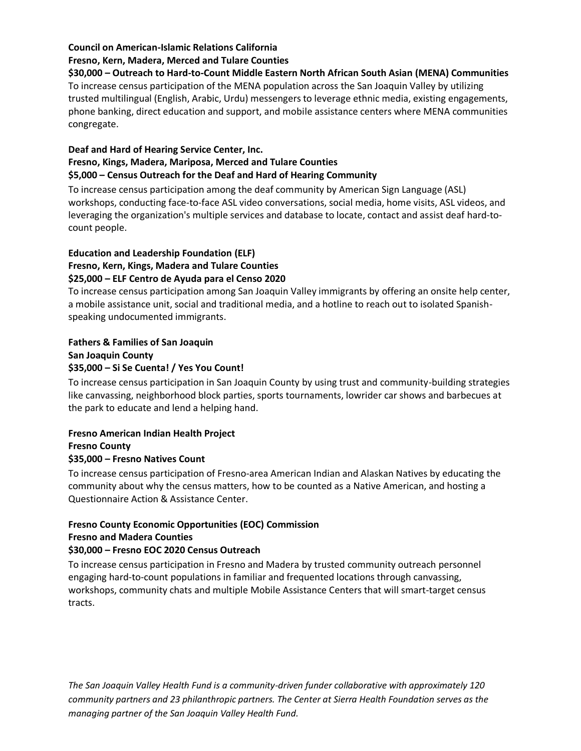# **Council on American-Islamic Relations California Fresno, Kern, Madera, Merced and Tulare Counties**

**\$30,000 – Outreach to Hard-to-Count Middle Eastern North African South Asian (MENA) Communities** To increase census participation of the MENA population across the San Joaquin Valley by utilizing trusted multilingual (English, Arabic, Urdu) messengers to leverage ethnic media, existing engagements, phone banking, direct education and support, and mobile assistance centers where MENA communities congregate.

# **Deaf and Hard of Hearing Service Center, Inc. Fresno, Kings, Madera, Mariposa, Merced and Tulare Counties \$5,000 – Census Outreach for the Deaf and Hard of Hearing Community**

To increase census participation among the deaf community by American Sign Language (ASL) workshops, conducting face-to-face ASL video conversations, social media, home visits, ASL videos, and leveraging the organization's multiple services and database to locate, contact and assist deaf hard-tocount people.

# **Education and Leadership Foundation (ELF) Fresno, Kern, Kings, Madera and Tulare Counties \$25,000 – ELF Centro de Ayuda para el Censo 2020**

To increase census participation among San Joaquin Valley immigrants by offering an onsite help center, a mobile assistance unit, social and traditional media, and a hotline to reach out to isolated Spanishspeaking undocumented immigrants.

#### **Fathers & Families of San Joaquin San Joaquin County \$35,000 – Si Se Cuenta! / Yes You Count!**

To increase census participation in San Joaquin County by using trust and community-building strategies like canvassing, neighborhood block parties, sports tournaments, lowrider car shows and barbecues at the park to educate and lend a helping hand.

# **Fresno American Indian Health Project Fresno County \$35,000 – Fresno Natives Count**

To increase census participation of Fresno-area American Indian and Alaskan Natives by educating the community about why the census matters, how to be counted as a Native American, and hosting a Questionnaire Action & Assistance Center.

#### **Fresno County Economic Opportunities (EOC) Commission Fresno and Madera Counties \$30,000 – Fresno EOC 2020 Census Outreach**

To increase census participation in Fresno and Madera by trusted community outreach personnel engaging hard-to-count populations in familiar and frequented locations through canvassing, workshops, community chats and multiple Mobile Assistance Centers that will smart-target census tracts.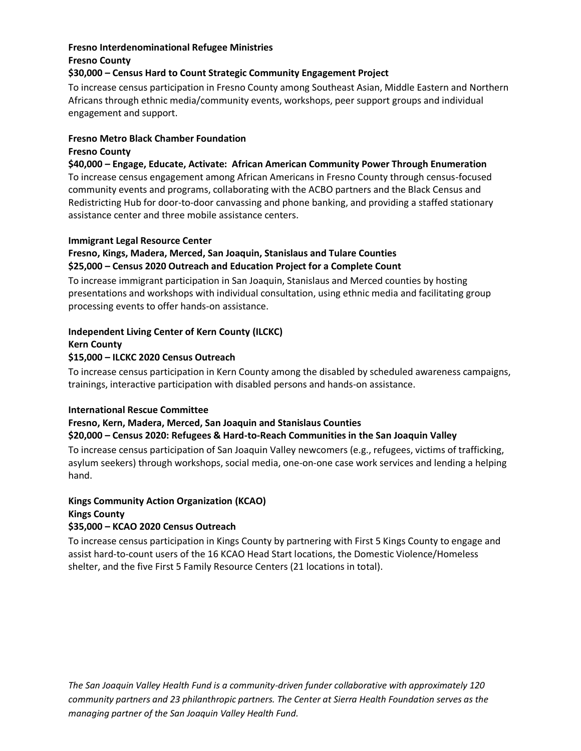# **Fresno Interdenominational Refugee Ministries**

# **Fresno County**

# **\$30,000 – Census Hard to Count Strategic Community Engagement Project**

To increase census participation in Fresno County among Southeast Asian, Middle Eastern and Northern Africans through ethnic media/community events, workshops, peer support groups and individual engagement and support.

# **Fresno Metro Black Chamber Foundation**

# **Fresno County**

**\$40,000 – Engage, Educate, Activate: African American Community Power Through Enumeration**

To increase census engagement among African Americans in Fresno County through census-focused community events and programs, collaborating with the ACBO partners and the Black Census and Redistricting Hub for door-to-door canvassing and phone banking, and providing a staffed stationary assistance center and three mobile assistance centers.

# **Immigrant Legal Resource Center**

# **Fresno, Kings, Madera, Merced, San Joaquin, Stanislaus and Tulare Counties \$25,000 – Census 2020 Outreach and Education Project for a Complete Count**

To increase immigrant participation in San Joaquin, Stanislaus and Merced counties by hosting presentations and workshops with individual consultation, using ethnic media and facilitating group processing events to offer hands-on assistance.

# **Independent Living Center of Kern County (ILCKC)**

#### **Kern County**

# **\$15,000 – ILCKC 2020 Census Outreach**

To increase census participation in Kern County among the disabled by scheduled awareness campaigns, trainings, interactive participation with disabled persons and hands-on assistance.

# **International Rescue Committee**

# **Fresno, Kern, Madera, Merced, San Joaquin and Stanislaus Counties**

# **\$20,000 – Census 2020: Refugees & Hard-to-Reach Communities in the San Joaquin Valley**

To increase census participation of San Joaquin Valley newcomers (e.g., refugees, victims of trafficking, asylum seekers) through workshops, social media, one-on-one case work services and lending a helping hand.

#### **Kings Community Action Organization (KCAO) Kings County**

# **\$35,000 – KCAO 2020 Census Outreach**

To increase census participation in Kings County by partnering with First 5 Kings County to engage and assist hard-to-count users of the 16 KCAO Head Start locations, the Domestic Violence/Homeless shelter, and the five First 5 Family Resource Centers (21 locations in total).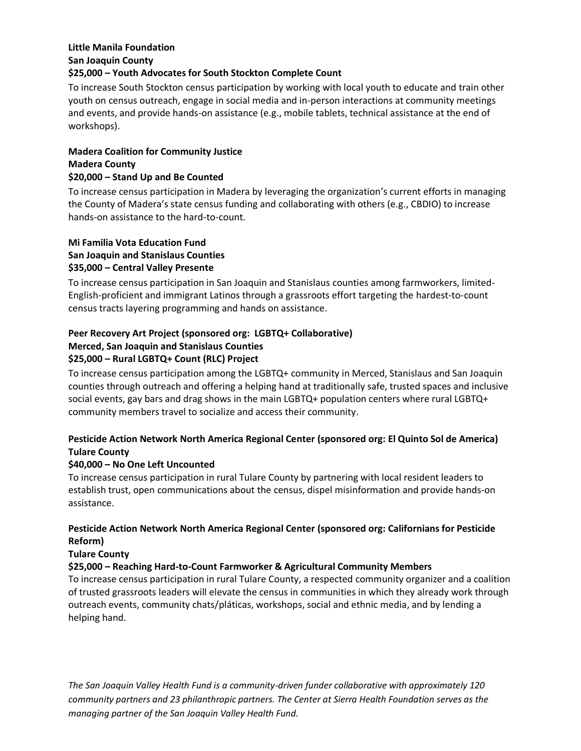# **Little Manila Foundation San Joaquin County**

# **\$25,000 – Youth Advocates for South Stockton Complete Count**

To increase South Stockton census participation by working with local youth to educate and train other youth on census outreach, engage in social media and in-person interactions at community meetings and events, and provide hands-on assistance (e.g., mobile tablets, technical assistance at the end of workshops).

# **Madera Coalition for Community Justice Madera County**

# **\$20,000 – Stand Up and Be Counted**

To increase census participation in Madera by leveraging the organization's current efforts in managing the County of Madera's state census funding and collaborating with others (e.g., CBDIO) to increase hands-on assistance to the hard-to-count.

# **Mi Familia Vota Education Fund San Joaquin and Stanislaus Counties \$35,000 – Central Valley Presente**

To increase census participation in San Joaquin and Stanislaus counties among farmworkers, limited-English-proficient and immigrant Latinos through a grassroots effort targeting the hardest-to-count census tracts layering programming and hands on assistance.

# **Peer Recovery Art Project (sponsored org: LGBTQ+ Collaborative) Merced, San Joaquin and Stanislaus Counties \$25,000 – Rural LGBTQ+ Count (RLC) Project**

To increase census participation among the LGBTQ+ community in Merced, Stanislaus and San Joaquin counties through outreach and offering a helping hand at traditionally safe, trusted spaces and inclusive social events, gay bars and drag shows in the main LGBTQ+ population centers where rural LGBTQ+ community members travel to socialize and access their community.

# **Pesticide Action Network North America Regional Center (sponsored org: El Quinto Sol de America) Tulare County**

# **\$40,000 – No One Left Uncounted**

To increase census participation in rural Tulare County by partnering with local resident leaders to establish trust, open communications about the census, dispel misinformation and provide hands-on assistance.

# **Pesticide Action Network North America Regional Center (sponsored org: Californians for Pesticide Reform)**

# **Tulare County**

# **\$25,000 – Reaching Hard-to-Count Farmworker & Agricultural Community Members**

To increase census participation in rural Tulare County, a respected community organizer and a coalition of trusted grassroots leaders will elevate the census in communities in which they already work through outreach events, community chats/pláticas, workshops, social and ethnic media, and by lending a helping hand.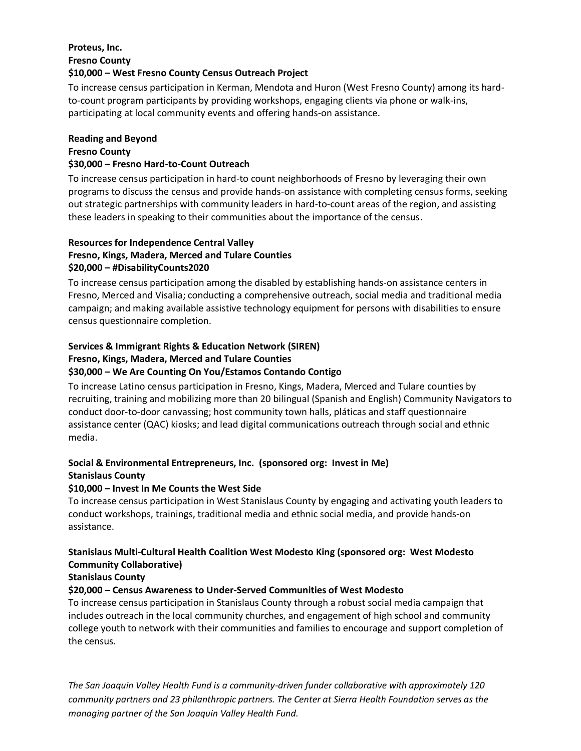# **Proteus, Inc. Fresno County**

#### **\$10,000 – West Fresno County Census Outreach Project**

To increase census participation in Kerman, Mendota and Huron (West Fresno County) among its hardto-count program participants by providing workshops, engaging clients via phone or walk-ins, participating at local community events and offering hands-on assistance.

# **Reading and Beyond**

# **Fresno County**

#### **\$30,000 – Fresno Hard-to-Count Outreach**

To increase census participation in hard-to count neighborhoods of Fresno by leveraging their own programs to discuss the census and provide hands-on assistance with completing census forms, seeking out strategic partnerships with community leaders in hard-to-count areas of the region, and assisting these leaders in speaking to their communities about the importance of the census.

# **Resources for Independence Central Valley Fresno, Kings, Madera, Merced and Tulare Counties \$20,000 – #DisabilityCounts2020**

To increase census participation among the disabled by establishing hands-on assistance centers in Fresno, Merced and Visalia; conducting a comprehensive outreach, social media and traditional media campaign; and making available assistive technology equipment for persons with disabilities to ensure census questionnaire completion.

# **Services & Immigrant Rights & Education Network (SIREN) Fresno, Kings, Madera, Merced and Tulare Counties**

# **\$30,000 – We Are Counting On You/Estamos Contando Contigo**

To increase Latino census participation in Fresno, Kings, Madera, Merced and Tulare counties by recruiting, training and mobilizing more than 20 bilingual (Spanish and English) Community Navigators to conduct door-to-door canvassing; host community town halls, pláticas and staff questionnaire assistance center (QAC) kiosks; and lead digital communications outreach through social and ethnic media.

# **Social & Environmental Entrepreneurs, Inc. (sponsored org: Invest in Me) Stanislaus County**

# **\$10,000 – Invest In Me Counts the West Side**

To increase census participation in West Stanislaus County by engaging and activating youth leaders to conduct workshops, trainings, traditional media and ethnic social media, and provide hands-on assistance.

# **Stanislaus Multi-Cultural Health Coalition West Modesto King (sponsored org: West Modesto Community Collaborative)**

# **Stanislaus County**

# **\$20,000 – Census Awareness to Under-Served Communities of West Modesto**

To increase census participation in Stanislaus County through a robust social media campaign that includes outreach in the local community churches, and engagement of high school and community college youth to network with their communities and families to encourage and support completion of the census.